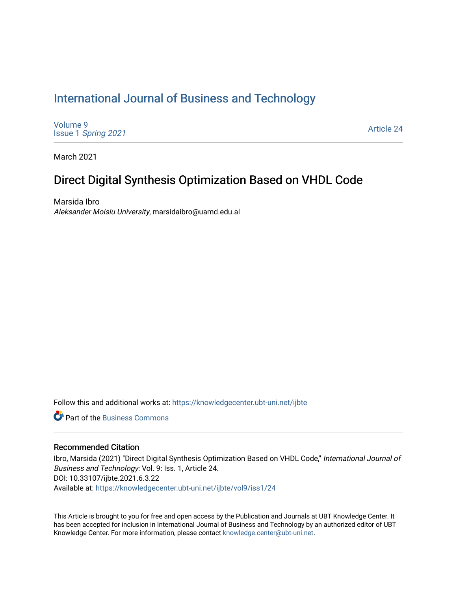# [International Journal of Business and Technology](https://knowledgecenter.ubt-uni.net/ijbte)

[Volume 9](https://knowledgecenter.ubt-uni.net/ijbte/vol9) Issue 1 [Spring 2021](https://knowledgecenter.ubt-uni.net/ijbte/vol9/iss1) 

[Article 24](https://knowledgecenter.ubt-uni.net/ijbte/vol9/iss1/24) 

March 2021

## Direct Digital Synthesis Optimization Based on VHDL Code

Marsida Ibro Aleksander Moisiu University, marsidaibro@uamd.edu.al

Follow this and additional works at: [https://knowledgecenter.ubt-uni.net/ijbte](https://knowledgecenter.ubt-uni.net/ijbte?utm_source=knowledgecenter.ubt-uni.net%2Fijbte%2Fvol9%2Fiss1%2F24&utm_medium=PDF&utm_campaign=PDFCoverPages) 

**C** Part of the [Business Commons](https://network.bepress.com/hgg/discipline/622?utm_source=knowledgecenter.ubt-uni.net%2Fijbte%2Fvol9%2Fiss1%2F24&utm_medium=PDF&utm_campaign=PDFCoverPages)

#### Recommended Citation

Ibro, Marsida (2021) "Direct Digital Synthesis Optimization Based on VHDL Code," International Journal of Business and Technology: Vol. 9: Iss. 1, Article 24. DOI: 10.33107/ijbte.2021.6.3.22 Available at: [https://knowledgecenter.ubt-uni.net/ijbte/vol9/iss1/24](https://knowledgecenter.ubt-uni.net/ijbte/vol9/iss1/24?utm_source=knowledgecenter.ubt-uni.net%2Fijbte%2Fvol9%2Fiss1%2F24&utm_medium=PDF&utm_campaign=PDFCoverPages) 

This Article is brought to you for free and open access by the Publication and Journals at UBT Knowledge Center. It has been accepted for inclusion in International Journal of Business and Technology by an authorized editor of UBT Knowledge Center. For more information, please contact [knowledge.center@ubt-uni.net](mailto:knowledge.center@ubt-uni.net).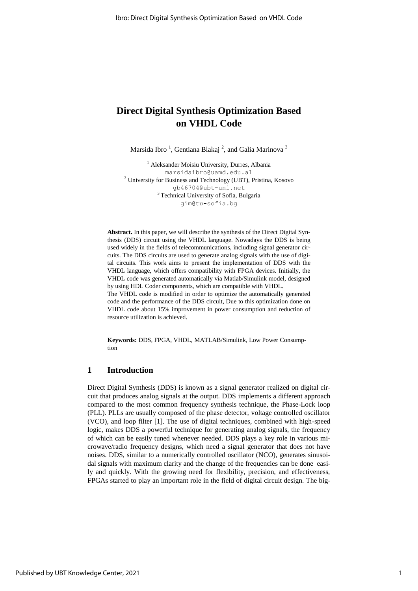### **Direct Digital Synthesis Optimization Based on VHDL Code**

Marsida Ibro<sup>1</sup>, Gentiana Blakaj<sup>2</sup>, and Galia Marinova<sup>3</sup>

<sup>1</sup> Aleksander Moisiu University, Durres, Albania marsidaibro@uamd.edu.al <sup>2</sup> University for Business and Technology (UBT), Pristina, Kosovo [gb46704@ubt-uni.net](mailto:gb46704@ubt-uni.net) <sup>3</sup>Technical University of Sofia, Bulgaria gim@tu-sofia.bg

**Abstract.** In this paper, we will describe the synthesis of the Direct Digital Synthesis (DDS) circuit using the VHDL language. Nowadays the DDS is being used widely in the fields of telecommunications, including signal generator circuits. The DDS circuits are used to generate analog signals with the use of digital circuits. This work aims to present the implementation of DDS with the VHDL language, which offers compatibility with FPGA devices. Initially, the VHDL code was generated automatically via Matlab/Simulink model, designed by using HDL Coder components, which are compatible with VHDL. The VHDL code is modified in order to optimize the automatically generated code and the performance of the DDS circuit, Due to this optimization done on VHDL code about 15% improvement in power consumption and reduction of resource utilization is achieved.

**Keywords:** DDS, FPGA, VHDL, MATLAB/Simulink, Low Power Consumption

#### **1 Introduction**

Direct Digital Synthesis (DDS) is known as a signal generator realized on digital circuit that produces analog signals at the output. DDS implements a different approach compared to the most common frequency synthesis technique, the Phase-Lock loop (PLL). PLLs are usually composed of the phase detector, voltage controlled oscillator (VCO), and loop filter [1]. The use of digital techniques, combined with high-speed logic, makes DDS a powerful technique for generating analog signals, the frequency of which can be easily tuned whenever needed. DDS plays a key role in various microwave/radio frequency designs, which need a signal generator that does not have noises. DDS, similar to a numerically controlled oscillator (NCO), generates sinusoidal signals with maximum clarity and the change of the frequencies can be done easily and quickly. With the growing need for flexibility, precision, and effectiveness, FPGAs started to play an important role in the field of digital circuit design. The big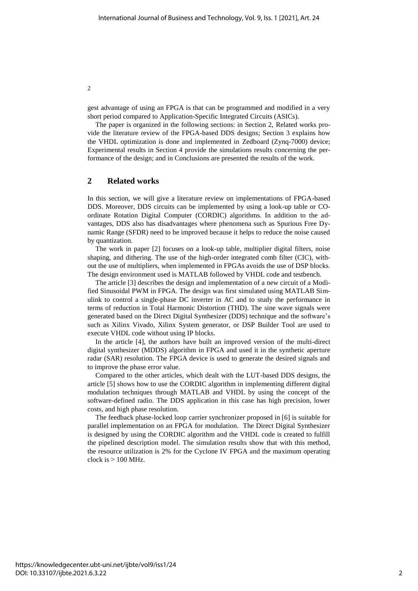gest advantage of using an FPGA is that can be programmed and modified in a very short period compared to Application-Specific Integrated Circuits (ASICs).

The paper is organized in the following sections: in Section 2, Related works provide the literature review of the FPGA-based DDS designs; Section 3 explains how the VHDL optimization is done and implemented in Zedboard (Zynq-7000) device; Experimental results in Section 4 provide the simulations results concerning the performance of the design; and in Conclusions are presented the results of the work.

#### **2 Related works**

In this section, we will give a literature review on implementations of FPGA-based DDS. Moreover, DDS circuits can be implemented by using a look-up table or COordinate Rotation Digital Computer (CORDIC) algorithms. In addition to the advantages, DDS also has disadvantages where phenomena such as Spurious Free Dynamic Range (SFDR) need to be improved because it helps to reduce the noise caused by quantization.

The work in paper [2] focuses on a look-up table, multiplier digital filters, noise shaping, and dithering. The use of the high-order integrated comb filter (CIC), without the use of multipliers, when implemented in FPGAs avoids the use of DSP blocks. The design environment used is MATLAB followed by VHDL code and testbench.

The article [3] describes the design and implementation of a new circuit of a Modified Sinusoidal PWM in FPGA. The design was first simulated using MATLAB Simulink to control a single-phase DC inverter in AC and to study the performance in terms of reduction in Total Harmonic Distortion (THD). The sine wave signals were generated based on the Direct Digital Synthesizer (DDS) technique and the software's such as Xilinx Vivado, Xilinx System generator, or DSP Builder Tool are used to execute VHDL code without using IP blocks.

In the article [4], the authors have built an improved version of the multi-direct digital synthesizer (MDDS) algorithm in FPGA and used it in the synthetic aperture radar (SAR) resolution. The FPGA device is used to generate the desired signals and to improve the phase error value.

Compared to the other articles, which dealt with the LUT-based DDS designs, the article [5] shows how to use the CORDIC algorithm in implementing different digital modulation techniques through MATLAB and VHDL by using the concept of the software-defined radio. The DDS application in this case has high precision, lower costs, and high phase resolution.

The feedback phase-locked loop carrier synchronizer proposed in [6] is suitable for parallel implementation on an FPGA for modulation. The Direct Digital Synthesizer is designed by using the CORDIC algorithm and the VHDL code is created to fulfill the pipelined description model. The simulation results show that with this method, the resource utilization is 2% for the Cyclone IV FPGA and the maximum operating clock is  $> 100$  MHz.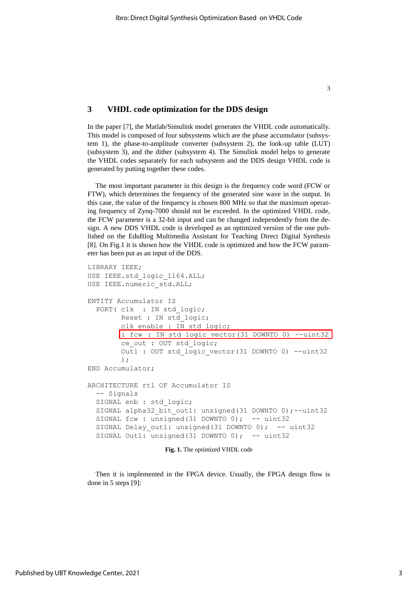#### **3 VHDL code optimization for the DDS design**

In the paper [7], the Matlab/Simulink model generates the VHDL code automatically. This model is composed of four subsystems which are the phase accumulator (subsystem 1), the phase-to-amplitude converter (subsystem 2), the look-up table (LUT) (subsystem 3), and the dither (subsystem 4). The Simulink model helps to generate the VHDL codes separately for each subsystem and the DDS design VHDL code is generated by putting together these codes.

The most important parameter in this design is the frequency code word (FCW or FTW), which determines the frequency of the generated sine wave in the output. In this case, the value of the frequency is chosen 800 MHz so that the maximum operating frequency of Zynq-7000 should not be exceeded. In the optimized VHDL code, the FCW parameter is a 32-bit input and can be changed independently from the design. A new DDS VHDL code is developed as an optimized version of the one published on the EduBlog [Multimedia Assistant for Teaching Direct Digital Synthesis](https://allaboutdds.edublogs.org/) [8]. On Fig.1 it is shown how the VHDL code is optimized and how the FCW parameter has been put as an input of the DDS.

```
LIBRARY IEEE;
USE IEEE.std_logic_1164.ALL;
USE IEEE.numeric std.ALL;
ENTITY Accumulator IS
  PORT( clk : IN std logic;
         Reset : IN std_logic;
        clk enable : IN std logic;
       i fcw : IN std logic vector(31 DOWNTO 0) --uint32
         ce_out : OUT std_logic;
        Out1 : OUT std logic vector(31 DOWNTO 0) --uint32
         );
END Accumulator;
ARCHITECTURE rtl OF Accumulator IS
  -- Signals
  SIGNAL enb : std logic;
 SIGNAL alpha32 bit out1: unsigned(31 DOWNTO 0);--uint32
 SIGNAL fcw : unsigned(31 DOWNTO 0); -- uint32
  SIGNAL Delay out1: unsigned(31 DOWNTO 0); -- uint32
  SIGNAL Out1: unsigned(31 DOWNTO 0); -- uint32
```
**Fig. 1.** The optimized VHDL code

Then it is implemented in the FPGA device. Usually, the FPGA design flow is done in 5 steps [9]: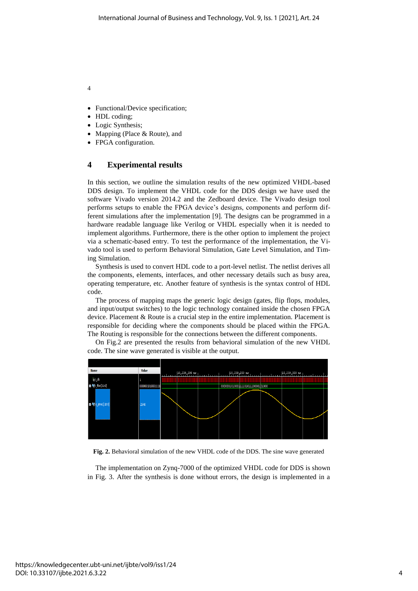4

- Functional/Device specification;
- HDL coding;
- Logic Synthesis;
- Mapping (Place & Route), and
- FPGA configuration.

#### **4 Experimental results**

In this section, we outline the simulation results of the new optimized VHDL-based DDS design. To implement the VHDL code for the DDS design we have used the software Vivado version 2014.2 and the Zedboard device. The Vivado design tool performs setups to enable the FPGA device's designs, components and perform different simulations after the implementation [9]. The designs can be programmed in a hardware readable language like Verilog or VHDL especially when it is needed to implement algorithms. Furthermore, there is the other option to implement the project via a schematic-based entry. To test the performance of the implementation, the Vivado tool is used to perform Behavioral Simulation, Gate Level Simulation, and Timing Simulation.

Synthesis is used to convert HDL code to a port-level netlist. The netlist derives all the components, elements, interfaces, and other necessary details such as busy area, operating temperature, etc. Another feature of synthesis is the syntax control of HDL code.

The process of mapping maps the generic logic design (gates, flip flops, modules, and input/output switches) to the logic technology contained inside the chosen FPGA device. Placement & Route is a crucial step in the entire implementation. Placement is responsible for deciding where the components should be placed within the FPGA. The Routing is responsible for the connections between the different components.



On Fig.2 are presented the results from behavioral simulation of the new VHDL code. The sine wave generated is visible at the output.

**Fig. 2.** Behavioral simulation of the new VHDL code of the DDS. The sine wave generated

The implementation on Zynq-7000 of the optimized VHDL code for DDS is shown in Fig. 3. After the synthesis is done without errors, the design is implemented in a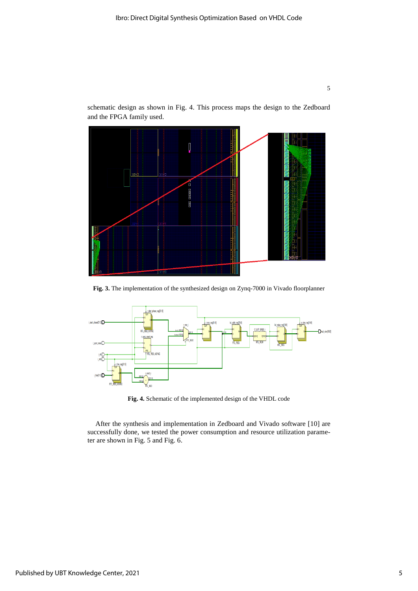

schematic design as shown in Fig. 4. This process maps the design to the Zedboard and the FPGA family used.



**Fig. 3.** The implementation of the synthesized design on Zynq-7000 in Vivado floorplanner



**Fig. 4.** Schematic of the implemented design of the VHDL code

After the synthesis and implementation in Zedboard and Vivado software [10] are successfully done, we tested the power consumption and resource utilization parameter are shown in Fig. 5 and Fig. 6.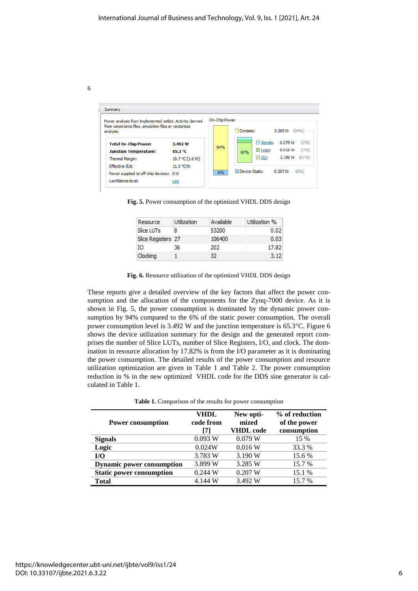6

| Summary                                                                                                                          |                              |          |                                                 |                                     |                               |                       |
|----------------------------------------------------------------------------------------------------------------------------------|------------------------------|----------|-------------------------------------------------|-------------------------------------|-------------------------------|-----------------------|
| Power analysis from Implemented netlist. Activity derived<br>from constraints files, simulation files or vectorless<br>analysis. | On-Chip Power                | Dynamic: |                                                 | 3.285 W                             | (94%                          |                       |
| <b>Total On-Chip Power:</b><br><b>Junction Temperature:</b>                                                                      | 3.492W<br>65.3 °C            | 94%      | 97%                                             | $\square$ Signals:<br>$\Box$ Logic: | 0.079 W<br>0.016 W<br>3.190 W | (2%)<br>(1%)<br>(97%) |
| <b>Thermal Margin:</b><br>Fffective mate:<br>Power supplied to off-chip devices: 0 W                                             | 19.7 °C (1.6 W)<br>11.5 °C/W | 6%       | $\Box$ I/O:<br>(6%)<br>Device Static:<br>0.207W |                                     |                               |                       |
| Confidence level:                                                                                                                | Low                          |          |                                                 |                                     |                               |                       |

**Fig. 5.** Power consumption of the optimized VHDL DDS design

| Resource           | <b>Utilization</b> | Available | Utilization % |
|--------------------|--------------------|-----------|---------------|
| Slice LUTs         | 8                  | 53200     | 0.02          |
| Slice Registers 27 |                    | 106400    | 0.03          |
| IΟ                 | 36                 | 202       | 17.82         |
| Clocking           |                    | 32        | 3.12          |



These reports give a detailed overview of the key factors that affect the power consumption and the allocation of the components for the Zynq-7000 device. As it is shown in Fig. 5, the power consumption is dominated by the dynamic power consumption by 94% compared to the 6% of the static power consumption. The overall power consumption level is 3.492 W and the junction temperature is 65.3°C. Figure 6 shows the device utilization summary for the design and the generated report comprises the number of Slice LUTs, number of Slice Registers, I/O, and clock. The domination in resource allocation by 17.82% is from the I/O parameter as it is dominating the power consumption. The detailed results of the power consumption and resource utilization optimization are given in Table 1 and Table 2. The power consumption reduction in % in the new optimized VHDL code for the DDS sine generator is calculated in Table 1.

|  |  |  |  | <b>Table 1.</b> Comparison of the results for power consumption |  |
|--|--|--|--|-----------------------------------------------------------------|--|
|  |  |  |  |                                                                 |  |

| <b>Power consumption</b>         | VHDL<br>code from<br>71 | New opti-<br>mized<br><b>VHDL</b> code | % of reduction<br>of the power<br>consumption |
|----------------------------------|-------------------------|----------------------------------------|-----------------------------------------------|
| <b>Signals</b>                   | 0.093 W                 | 0.079 W                                | 15 %                                          |
| Logic                            | 0.024W                  | 0.016 W                                | 33.3 %                                        |
| I/O                              | 3.783 W                 | 3.190 W                                | 15.6 %                                        |
| <b>Dynamic power consumption</b> | 3.899 W                 | 3.285 W                                | 15.7 %                                        |
| <b>Static power consumption</b>  | 0.244 W                 | 0.207 W                                | 15.1 %                                        |
| <b>Total</b>                     | 4.144 W                 | 3.492 W                                | 15.7 %                                        |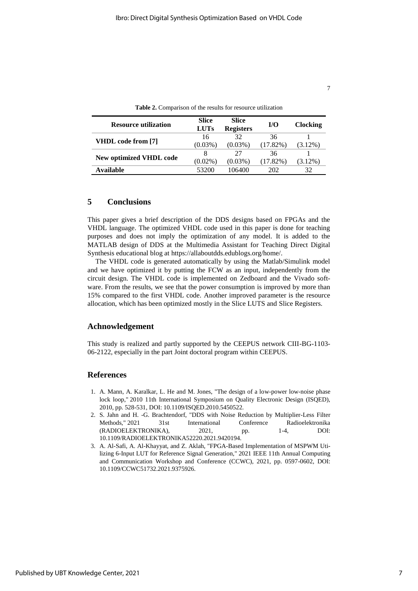| ۰ |
|---|
|   |

| <b>Resource utilization</b> | Slice<br><b>LUTs</b> | <b>Slice</b><br><b>Registers</b> | I/O         | <b>Clocking</b> |
|-----------------------------|----------------------|----------------------------------|-------------|-----------------|
| VHDL code from [7]          | 16                   | 32                               | 36          |                 |
|                             | $(0.03\%)$           | $(0.03\%)$                       | (17.82%)    | $(3.12\%)$      |
|                             | 8                    | 27                               | 36          |                 |
| New optimized VHDL code     | $(0.02\%)$           | $(0.03\%)$                       | $(17.82\%)$ | $(3.12\%)$      |
| Available                   | 53200                | 106400                           | 202         | 32              |

**Table 2.** Comparison of the results for resource utilization

#### **5 Conclusions**

This paper gives a brief description of the DDS designs based on FPGAs and the VHDL language. The optimized VHDL code used in this paper is done for teaching purposes and does not imply the optimization of any model. It is added to the MATLAB design of DDS at the [Multimedia Assistant for Teaching Direct Digital](https://allaboutdds.edublogs.org/)  [Synthesis](https://allaboutdds.edublogs.org/) educational blog at [https://allaboutdds.edublogs.org/home/.](https://allaboutdds.edublogs.org/home/)

The VHDL code is generated automatically by using the Matlab/Simulink model and we have optimized it by putting the FCW as an input, independently from the circuit design. The VHDL code is implemented on Zedboard and the Vivado software. From the results, we see that the power consumption is improved by more than 15% compared to the first VHDL code. Another improved parameter is the resource allocation, which has been optimized mostly in the Slice LUTS and Slice Registers.

#### **Achnowledgement**

This study is realized and partly supported by the CEEPUS network CIII-BG-1103- 06-2122, especially in the part Joint doctoral program within CEEPUS.

#### **References**

- 1. A. Mann, A. Karalkar, L. He and M. Jones, "The design of a low-power low-noise phase lock loop," 2010 11th International Symposium on Quality Electronic Design (ISQED), 2010, pp. 528-531, DOI: 10.1109/ISQED.2010.5450522.
- 2. S. Jahn and H. -G. Brachtendorf, "DDS with Noise Reduction by Multiplier-Less Filter Methods," 2021 31st International Conference Radioelektronika (RADIOELEKTRONIKA), 2021, pp. 1-4, DOI: 10.1109/RADIOELEKTRONIKA52220.2021.9420194.
- 3. A. Al-Safi, A. Al-Khayyat, and Z. Aklah, "FPGA-Based Implementation of MSPWM Utilizing 6-Input LUT for Reference Signal Generation," 2021 IEEE 11th Annual Computing and Communication Workshop and Conference (CCWC), 2021, pp. 0597-0602, DOI: 10.1109/CCWC51732.2021.9375926.